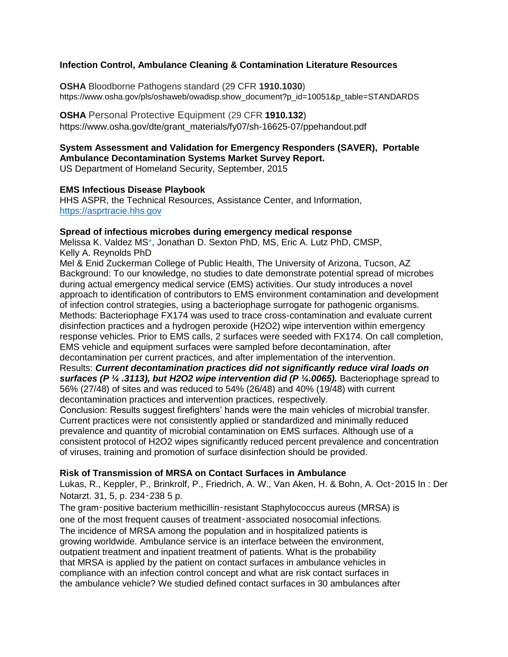# **Infection Control, Ambulance Cleaning & Contamination Literature Resources**

**OSHA** Bloodborne Pathogens standard (29 CFR **1910.1030**) https://www.osha.gov/pls/oshaweb/owadisp.show\_document?p\_id=10051&p\_table=STANDARDS

# **OSHA Personal Protective Equipment (29 CFR 1910.132**)

https://www.osha.gov/dte/grant\_materials/fy07/sh-16625-07/ppehandout.pdf

### **System Assessment and Validation for Emergency Responders (SAVER), Portable Ambulance Decontamination Systems Market Survey Report.**

US Department of Homeland Security, September, 2015

### **EMS Infectious Disease Playbook**

HHS ASPR, the Technical Resources, Assistance Center, and Information, [https://asprtracie.hhs.gov](https://asprtracie.hhs.gov/)

# **Spread of infectious microbes during emergency medical response**

Melissa K. Valdez MS\*, Jonathan D. Sexton PhD, MS, Eric A. Lutz PhD, CMSP, Kelly A. Reynolds PhD

Mel & Enid Zuckerman College of Public Health, The University of Arizona, Tucson, AZ Background: To our knowledge, no studies to date demonstrate potential spread of microbes during actual emergency medical service (EMS) activities. Our study introduces a novel approach to identification of contributors to EMS environment contamination and development of infection control strategies, using a bacteriophage surrogate for pathogenic organisms. Methods: Bacteriophage FX174 was used to trace cross-contamination and evaluate current disinfection practices and a hydrogen peroxide (H2O2) wipe intervention within emergency response vehicles. Prior to EMS calls, 2 surfaces were seeded with FX174. On call completion, EMS vehicle and equipment surfaces were sampled before decontamination, after decontamination per current practices, and after implementation of the intervention. Results: *Current decontamination practices did not significantly reduce viral loads on* 

*surfaces (P ¼ .3113), but H2O2 wipe intervention did (P ¼.0065).* Bacteriophage spread to 56% (27/48) of sites and was reduced to 54% (26/48) and 40% (19/48) with current decontamination practices and intervention practices, respectively.

Conclusion: Results suggest firefighters' hands were the main vehicles of microbial transfer. Current practices were not consistently applied or standardized and minimally reduced prevalence and quantity of microbial contamination on EMS surfaces. Although use of a consistent protocol of H2O2 wipes significantly reduced percent prevalence and concentration of viruses, training and promotion of surface disinfection should be provided.

### **Risk of Transmission of MRSA on Contact Surfaces in Ambulance**

Lukas, R., Keppler, P., Brinkrolf, P., Friedrich, A. W., Van Aken, H. & Bohn, A. Oct‑2015 In : Der Notarzt. 31, 5, p. 234‑238 5 p.

The gram‑positive bacterium methicillin‑resistant Staphylococcus aureus (MRSA) is one of the most frequent causes of treatment‑associated nosocomial infections. The incidence of MRSA among the population and in hospitalized patients is growing worldwide. Ambulance service is an interface between the environment, outpatient treatment and inpatient treatment of patients. What is the probability that MRSA is applied by the patient on contact surfaces in ambulance vehicles in compliance with an infection control concept and what are risk contact surfaces in the ambulance vehicle? We studied defined contact surfaces in 30 ambulances after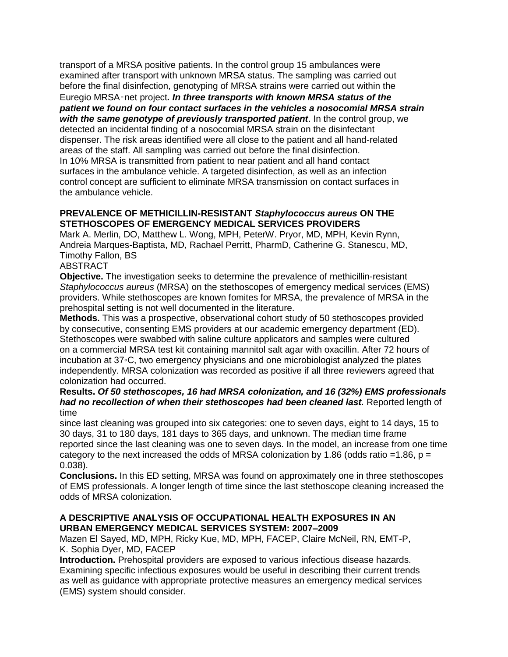transport of a MRSA positive patients. In the control group 15 ambulances were examined after transport with unknown MRSA status. The sampling was carried out before the final disinfection, genotyping of MRSA strains were carried out within the Euregio MRSA‑net project*. In three transports with known MRSA status of the patient we found on four contact surfaces in the vehicles a nosocomial MRSA strain with the same genotype of previously transported patient*. In the control group, we detected an incidental finding of a nosocomial MRSA strain on the disinfectant dispenser. The risk areas identified were all close to the patient and all hand-related areas of the staff. All sampling was carried out before the final disinfection. In 10% MRSA is transmitted from patient to near patient and all hand contact surfaces in the ambulance vehicle. A targeted disinfection, as well as an infection control concept are sufficient to eliminate MRSA transmission on contact surfaces in the ambulance vehicle.

### **PREVALENCE OF METHICILLIN-RESISTANT** *Staphylococcus aureus* **ON THE STETHOSCOPES OF EMERGENCY MEDICAL SERVICES PROVIDERS**

Mark A. Merlin, DO, Matthew L. Wong, MPH, PeterW. Pryor, MD, MPH, Kevin Rynn, Andreia Marques-Baptista, MD, Rachael Perritt, PharmD, Catherine G. Stanescu, MD, Timothy Fallon, BS

# ABSTRACT

**Objective.** The investigation seeks to determine the prevalence of methicillin-resistant *Staphylococcus aureus* (MRSA) on the stethoscopes of emergency medical services (EMS) providers. While stethoscopes are known fomites for MRSA, the prevalence of MRSA in the prehospital setting is not well documented in the literature.

**Methods.** This was a prospective, observational cohort study of 50 stethoscopes provided by consecutive, consenting EMS providers at our academic emergency department (ED). Stethoscopes were swabbed with saline culture applicators and samples were cultured on a commercial MRSA test kit containing mannitol salt agar with oxacillin. After 72 hours of incubation at 37◦C, two emergency physicians and one microbiologist analyzed the plates independently. MRSA colonization was recorded as positive if all three reviewers agreed that colonization had occurred.

### **Results.** *Of 50 stethoscopes, 16 had MRSA colonization, and 16 (32%) EMS professionals had no recollection of when their stethoscopes had been cleaned last.* Reported length of time

since last cleaning was grouped into six categories: one to seven days, eight to 14 days, 15 to 30 days, 31 to 180 days, 181 days to 365 days, and unknown. The median time frame reported since the last cleaning was one to seven days. In the model, an increase from one time category to the next increased the odds of MRSA colonization by 1.86 (odds ratio =1.86,  $p =$ 0.038).

**Conclusions.** In this ED setting, MRSA was found on approximately one in three stethoscopes of EMS professionals. A longer length of time since the last stethoscope cleaning increased the odds of MRSA colonization.

### **A DESCRIPTIVE ANALYSIS OF OCCUPATIONAL HEALTH EXPOSURES IN AN URBAN EMERGENCY MEDICAL SERVICES SYSTEM: 2007–2009**

Mazen El Sayed, MD, MPH, Ricky Kue, MD, MPH, FACEP, Claire McNeil, RN, EMT-P, K. Sophia Dyer, MD, FACEP

**Introduction.** Prehospital providers are exposed to various infectious disease hazards. Examining specific infectious exposures would be useful in describing their current trends as well as guidance with appropriate protective measures an emergency medical services (EMS) system should consider.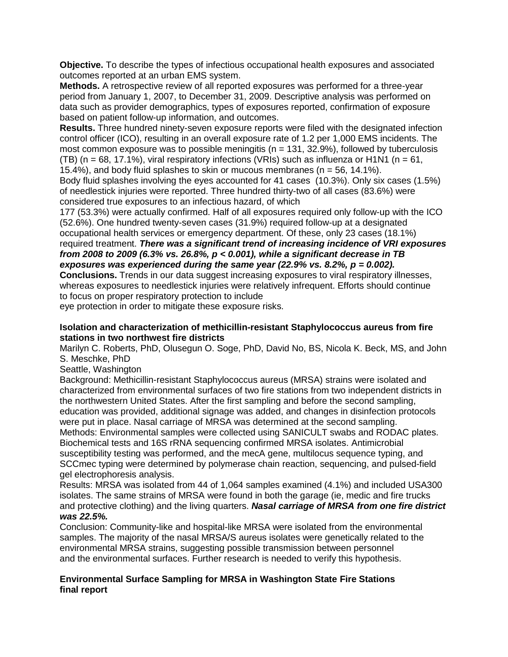**Objective.** To describe the types of infectious occupational health exposures and associated outcomes reported at an urban EMS system.

**Methods.** A retrospective review of all reported exposures was performed for a three-year period from January 1, 2007, to December 31, 2009. Descriptive analysis was performed on data such as provider demographics, types of exposures reported, confirmation of exposure based on patient follow-up information, and outcomes.

**Results.** Three hundred ninety-seven exposure reports were filed with the designated infection control officer (ICO), resulting in an overall exposure rate of 1.2 per 1,000 EMS incidents. The most common exposure was to possible meningitis ( $n = 131, 32.9\%$ ), followed by tuberculosis (TB) (n = 68, 17.1%), viral respiratory infections (VRIs) such as influenza or H1N1 (n = 61,

15.4%), and body fluid splashes to skin or mucous membranes (n = 56, 14.1%).

Body fluid splashes involving the eyes accounted for 41 cases (10.3%). Only six cases (1.5%) of needlestick injuries were reported. Three hundred thirty-two of all cases (83.6%) were considered true exposures to an infectious hazard, of which

177 (53.3%) were actually confirmed. Half of all exposures required only follow-up with the ICO (52.6%). One hundred twenty-seven cases (31.9%) required follow-up at a designated occupational health services or emergency department. Of these, only 23 cases (18.1%) required treatment. *There was a significant trend of increasing incidence of VRI exposures from 2008 to 2009 (6.3% vs. 26.8%, p < 0.001), while a significant decrease in TB exposures was experienced during the same year (22.9% vs. 8.2%, p = 0.002).*

**Conclusions.** Trends in our data suggest increasing exposures to viral respiratory illnesses, whereas exposures to needlestick injuries were relatively infrequent. Efforts should continue to focus on proper respiratory protection to include

eye protection in order to mitigate these exposure risks.

### **Isolation and characterization of methicillin-resistant Staphylococcus aureus from fire stations in two northwest fire districts**

Marilyn C. Roberts, PhD, Olusegun O. Soge, PhD, David No, BS, Nicola K. Beck, MS, and John S. Meschke, PhD

Seattle, Washington

Background: Methicillin-resistant Staphylococcus aureus (MRSA) strains were isolated and characterized from environmental surfaces of two fire stations from two independent districts in the northwestern United States. After the first sampling and before the second sampling, education was provided, additional signage was added, and changes in disinfection protocols were put in place. Nasal carriage of MRSA was determined at the second sampling. Methods: Environmental samples were collected using SANICULT swabs and RODAC plates. Biochemical tests and 16S rRNA sequencing confirmed MRSA isolates. Antimicrobial susceptibility testing was performed, and the mecA gene, multilocus sequence typing, and SCCmec typing were determined by polymerase chain reaction, sequencing, and pulsed-field gel electrophoresis analysis.

Results: MRSA was isolated from 44 of 1,064 samples examined (4.1%) and included USA300 isolates. The same strains of MRSA were found in both the garage (ie, medic and fire trucks and protective clothing) and the living quarters. *Nasal carriage of MRSA from one fire district was 22.5%.*

Conclusion: Community-like and hospital-like MRSA were isolated from the environmental samples. The majority of the nasal MRSA/S aureus isolates were genetically related to the environmental MRSA strains, suggesting possible transmission between personnel and the environmental surfaces. Further research is needed to verify this hypothesis.

# **Environmental Surface Sampling for MRSA in Washington State Fire Stations final report**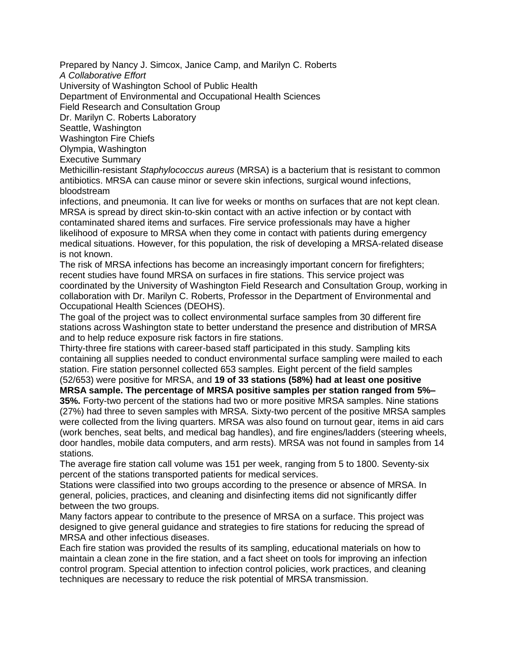Prepared by Nancy J. Simcox, Janice Camp, and Marilyn C. Roberts

*A Collaborative Effort*

University of Washington School of Public Health

Department of Environmental and Occupational Health Sciences

Field Research and Consultation Group

Dr. Marilyn C. Roberts Laboratory

Seattle, Washington

Washington Fire Chiefs

Olympia, Washington

Executive Summary

Methicillin-resistant *Staphylococcus aureus* (MRSA) is a bacterium that is resistant to common antibiotics. MRSA can cause minor or severe skin infections, surgical wound infections, bloodstream

infections, and pneumonia. It can live for weeks or months on surfaces that are not kept clean. MRSA is spread by direct skin-to-skin contact with an active infection or by contact with contaminated shared items and surfaces. Fire service professionals may have a higher likelihood of exposure to MRSA when they come in contact with patients during emergency medical situations. However, for this population, the risk of developing a MRSA-related disease is not known.

The risk of MRSA infections has become an increasingly important concern for firefighters; recent studies have found MRSA on surfaces in fire stations. This service project was coordinated by the University of Washington Field Research and Consultation Group, working in collaboration with Dr. Marilyn C. Roberts, Professor in the Department of Environmental and Occupational Health Sciences (DEOHS).

The goal of the project was to collect environmental surface samples from 30 different fire stations across Washington state to better understand the presence and distribution of MRSA and to help reduce exposure risk factors in fire stations.

Thirty-three fire stations with career-based staff participated in this study. Sampling kits containing all supplies needed to conduct environmental surface sampling were mailed to each station. Fire station personnel collected 653 samples. Eight percent of the field samples (52/653) were positive for MRSA, and **19 of 33 stations (58%) had at least one positive** 

**MRSA sample. The percentage of MRSA positive samples per station ranged from 5%– 35%.** Forty-two percent of the stations had two or more positive MRSA samples. Nine stations (27%) had three to seven samples with MRSA. Sixty-two percent of the positive MRSA samples were collected from the living quarters. MRSA was also found on turnout gear, items in aid cars (work benches, seat belts, and medical bag handles), and fire engines/ladders (steering wheels, door handles, mobile data computers, and arm rests). MRSA was not found in samples from 14 stations.

The average fire station call volume was 151 per week, ranging from 5 to 1800. Seventy-six percent of the stations transported patients for medical services.

Stations were classified into two groups according to the presence or absence of MRSA. In general, policies, practices, and cleaning and disinfecting items did not significantly differ between the two groups.

Many factors appear to contribute to the presence of MRSA on a surface. This project was designed to give general guidance and strategies to fire stations for reducing the spread of MRSA and other infectious diseases.

Each fire station was provided the results of its sampling, educational materials on how to maintain a clean zone in the fire station, and a fact sheet on tools for improving an infection control program. Special attention to infection control policies, work practices, and cleaning techniques are necessary to reduce the risk potential of MRSA transmission.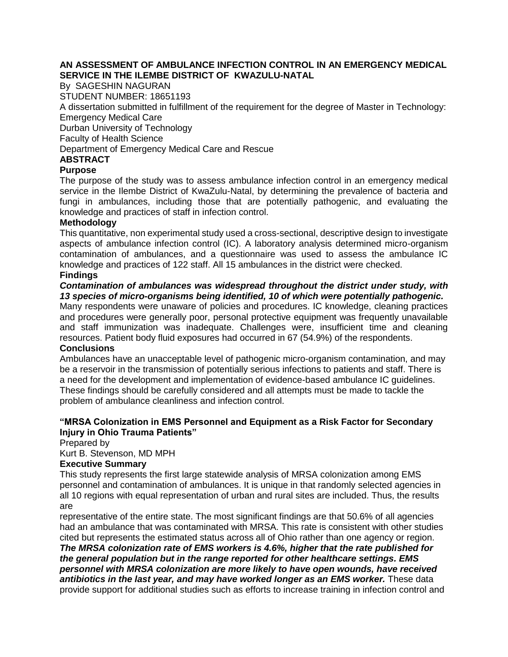### **AN ASSESSMENT OF AMBULANCE INFECTION CONTROL IN AN EMERGENCY MEDICAL SERVICE IN THE ILEMBE DISTRICT OF KWAZULU-NATAL**

By SAGESHIN NAGURAN STUDENT NUMBER: 18651193 A dissertation submitted in fulfillment of the requirement for the degree of Master in Technology: Emergency Medical Care Durban University of Technology Faculty of Health Science Department of Emergency Medical Care and Rescue **ABSTRACT** 

### **Purpose**

The purpose of the study was to assess ambulance infection control in an emergency medical service in the Ilembe District of KwaZulu-Natal, by determining the prevalence of bacteria and fungi in ambulances, including those that are potentially pathogenic, and evaluating the knowledge and practices of staff in infection control.

### **Methodology**

This quantitative, non experimental study used a cross-sectional, descriptive design to investigate aspects of ambulance infection control (IC). A laboratory analysis determined micro-organism contamination of ambulances, and a questionnaire was used to assess the ambulance IC knowledge and practices of 122 staff. All 15 ambulances in the district were checked.

# **Findings**

# *Contamination of ambulances was widespread throughout the district under study, with 13 species of micro-organisms being identified, 10 of which were potentially pathogenic.*

Many respondents were unaware of policies and procedures. IC knowledge, cleaning practices and procedures were generally poor, personal protective equipment was frequently unavailable and staff immunization was inadequate. Challenges were, insufficient time and cleaning resources. Patient body fluid exposures had occurred in 67 (54.9%) of the respondents.

### **Conclusions**

Ambulances have an unacceptable level of pathogenic micro-organism contamination, and may be a reservoir in the transmission of potentially serious infections to patients and staff. There is a need for the development and implementation of evidence-based ambulance IC guidelines. These findings should be carefully considered and all attempts must be made to tackle the problem of ambulance cleanliness and infection control.

# **"MRSA Colonization in EMS Personnel and Equipment as a Risk Factor for Secondary Injury in Ohio Trauma Patients"**

Prepared by

Kurt B. Stevenson, MD MPH

# **Executive Summary**

This study represents the first large statewide analysis of MRSA colonization among EMS personnel and contamination of ambulances. It is unique in that randomly selected agencies in all 10 regions with equal representation of urban and rural sites are included. Thus, the results are

representative of the entire state. The most significant findings are that 50.6% of all agencies had an ambulance that was contaminated with MRSA. This rate is consistent with other studies cited but represents the estimated status across all of Ohio rather than one agency or region. *The MRSA colonization rate of EMS workers is 4.6%, higher that the rate published for the general population but in the range reported for other healthcare settings. EMS personnel with MRSA colonization are more likely to have open wounds, have received antibiotics in the last year, and may have worked longer as an EMS worker.* These data provide support for additional studies such as efforts to increase training in infection control and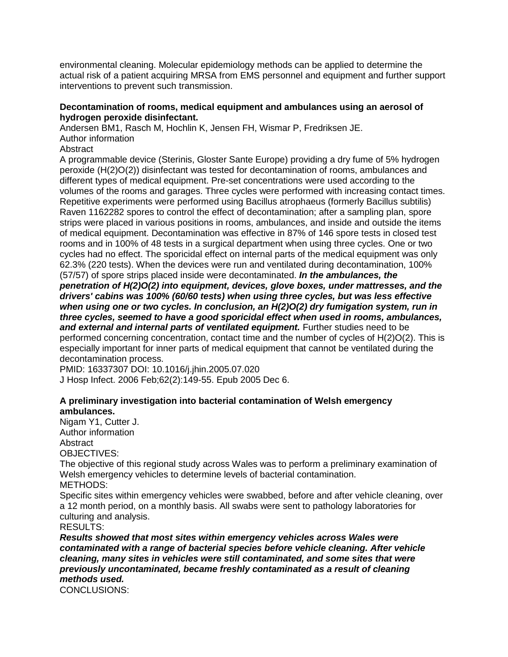environmental cleaning. Molecular epidemiology methods can be applied to determine the actual risk of a patient acquiring MRSA from EMS personnel and equipment and further support interventions to prevent such transmission.

### **Decontamination of rooms, medical equipment and ambulances using an aerosol of hydrogen peroxide disinfectant.**

**Andersen BM1, Rasch M, Hochlin K, Jensen FH, Wismar P, Fredriksen JE.**

### **Author information**

## **Abstract**

**A programmable device (Sterinis, Gloster Sante Europe) providing a dry fume of 5% hydrogen peroxide (H(2)O(2)) disinfectant was tested for decontamination of rooms, ambulances and different types of medical equipment. Pre-set concentrations were used according to the volumes of the rooms and garages. Three cycles were performed with increasing contact times. Repetitive experiments were performed using Bacillus atrophaeus (formerly Bacillus subtilis) Raven 1162282 spores to control the effect of decontamination; after a sampling plan, spore strips were placed in various positions in rooms, ambulances, and inside and outside the items of medical equipment. Decontamination was effective in 87% of 146 spore tests in closed test rooms and in 100% of 48 tests in a surgical department when using three cycles. One or two cycles had no effect. The sporicidal effect on internal parts of the medical equipment was only 62.3% (220 tests). When the devices were run and ventilated during decontamination, 100% (57/57) of spore strips placed inside were decontaminated.** *In the ambulances, the penetration of H(2)O(2) into equipment, devices, glove boxes, under mattresses, and the drivers' cabins was 100% (60/60 tests) when using three cycles, but was less effective when using one or two cycles. In conclusion, an H(2)O(2) dry fumigation system, run in three cycles, seemed to have a good sporicidal effect when used in rooms, ambulances, and external and internal parts of ventilated equipment.* **Further studies need to be performed concerning concentration, contact time and the number of cycles of H(2)O(2). This is especially important for inner parts of medical equipment that cannot be ventilated during the decontamination process.**

**PMID: 16337307 DOI: 10.1016/j.jhin.2005.07.020 J Hosp Infect. 2006 Feb;62(2):149-55. Epub 2005 Dec 6.**

**A preliminary investigation into bacterial contamination of Welsh emergency ambulances.**

**Nigam Y1, Cutter J. Author information**

**Abstract**

**OBJECTIVES:**

**The objective of this regional study across Wales was to perform a preliminary examination of Welsh emergency vehicles to determine levels of bacterial contamination. METHODS:**

**Specific sites within emergency vehicles were swabbed, before and after vehicle cleaning, over a 12 month period, on a monthly basis. All swabs were sent to pathology laboratories for culturing and analysis.**

**RESULTS:**

*Results showed that most sites within emergency vehicles across Wales were contaminated with a range of bacterial species before vehicle cleaning. After vehicle cleaning, many sites in vehicles were still contaminated, and some sites that were previously uncontaminated, became freshly contaminated as a result of cleaning methods used.* **CONCLUSIONS:**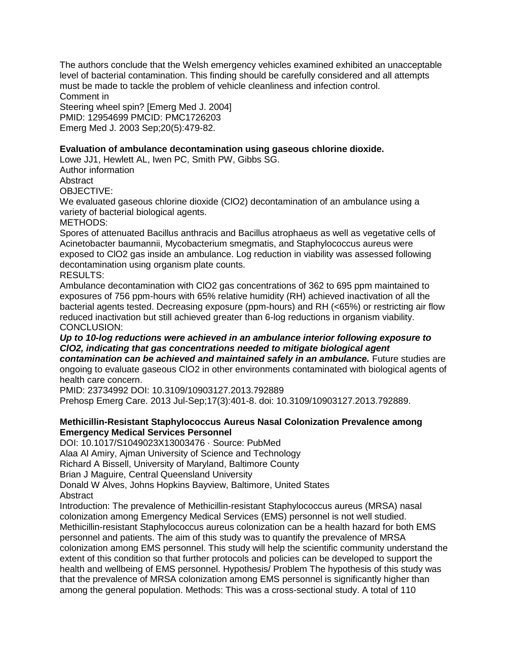**The authors conclude that the Welsh emergency vehicles examined exhibited an unacceptable level of bacterial contamination. This finding should be carefully considered and all attempts must be made to tackle the problem of vehicle cleanliness and infection control. Comment in**

**Steering wheel spin? [Emerg Med J. 2004] PMID: 12954699 PMCID: PMC1726203 Emerg Med J. 2003 Sep;20(5):479-82.**

**Evaluation of ambulance decontamination using gaseous chlorine dioxide. Lowe JJ1, Hewlett AL, Iwen PC, Smith PW, Gibbs SG.**

**Author information**

**Abstract**

**OBJECTIVE:**

**We evaluated gaseous chlorine dioxide (ClO2) decontamination of an ambulance using a variety of bacterial biological agents.**

**METHODS:**

**Spores of attenuated Bacillus anthracis and Bacillus atrophaeus as well as vegetative cells of Acinetobacter baumannii, Mycobacterium smegmatis, and Staphylococcus aureus were exposed to ClO2 gas inside an ambulance. Log reduction in viability was assessed following decontamination using organism plate counts.**

**RESULTS:**

**Ambulance decontamination with ClO2 gas concentrations of 362 to 695 ppm maintained to exposures of 756 ppm-hours with 65% relative humidity (RH) achieved inactivation of all the bacterial agents tested. Decreasing exposure (ppm-hours) and RH (<65%) or restricting air flow reduced inactivation but still achieved greater than 6-log reductions in organism viability. CONCLUSION:**

*Up to 10-log reductions were achieved in an ambulance interior following exposure to ClO2, indicating that gas concentrations needed to mitigate biological agent contamination can be achieved and maintained safely in an ambulance.* **Future studies are ongoing to evaluate gaseous ClO2 in other environments contaminated with biological agents of health care concern.**

**PMID: 23734992 DOI: 10.3109/10903127.2013.792889 Prehosp Emerg Care. 2013 Jul-Sep;17(3):401-8. doi: 10.3109/10903127.2013.792889.**

**Methicillin-Resistant Staphylococcus Aureus Nasal Colonization Prevalence among Emergency Medical Services Personnel**

**DOI: 10.1017/S1049023X13003476 · Source: PubMed**

**Alaa Al Amiry, Ajman University of Science and Technology**

**Richard A Bissell, University of Maryland, Baltimore County**

**Brian J Maguire, Central Queensland University**

**Donald W Alves, Johns Hopkins Bayview, Baltimore, United States Abstract**

**Introduction: The prevalence of Methicillin-resistant Staphylococcus aureus (MRSA) nasal colonization among Emergency Medical Services (EMS) personnel is not well studied. Methicillin-resistant Staphylococcus aureus colonization can be a health hazard for both EMS personnel and patients. The aim of this study was to quantify the prevalence of MRSA colonization among EMS personnel. This study will help the scientific community understand the extent of this condition so that further protocols and policies can be developed to support the health and wellbeing of EMS personnel. Hypothesis/ Problem The hypothesis of this study was that the prevalence of MRSA colonization among EMS personnel is significantly higher than among the general population. Methods: This was a cross-sectional study. A total of 110**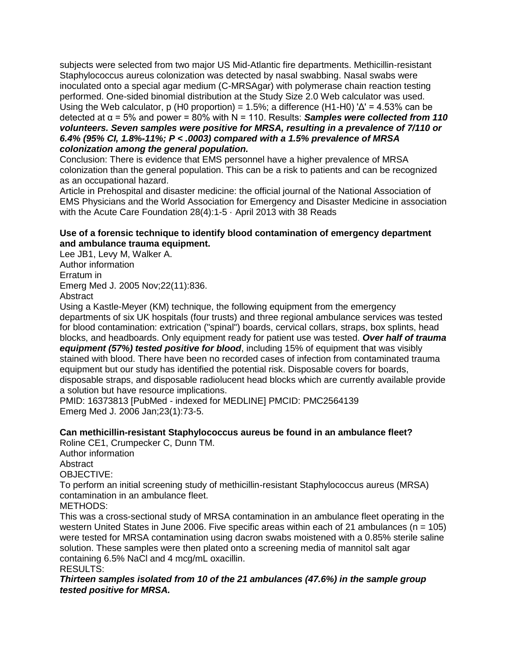**subjects were selected from two major US Mid-Atlantic fire departments. Methicillin-resistant Staphylococcus aureus colonization was detected by nasal swabbing. Nasal swabs were inoculated onto a special agar medium (C-MRSAgar) with polymerase chain reaction testing performed. One-sided binomial distribution at the Study Size 2.0 Web calculator was used. Using the Web calculator, p (H0 proportion) = 1.5%; a difference (H1-H0) 'Δ' = 4.53% can be** detected at  $α = 5%$  and power = 80% with  $N = 110$ . Results: *Samples were collected from 110 volunteers. Seven samples were positive for MRSA, resulting in a prevalence of 7/110 or 6.4% (95% CI, 1.8%-11%; P < .0003) compared with a 1.5% prevalence of MRSA colonization among the general population.* 

**Conclusion: There is evidence that EMS personnel have a higher prevalence of MRSA colonization than the general population. This can be a risk to patients and can be recognized as an occupational hazard.**

**Article in Prehospital and disaster medicine: the official journal of the National Association of EMS Physicians and the World Association for Emergency and Disaster Medicine in association with the Acute Care Foundation 28(4):1-5 · April 2013 with 38 Reads**

**Use of a forensic technique to identify blood contamination of emergency department and ambulance trauma equipment.**

**Lee JB1, Levy M, Walker A.**

**Author information**

**Erratum in**

**Emerg Med J. 2005 Nov;22(11):836.**

**Abstract**

**Using a Kastle-Meyer (KM) technique, the following equipment from the emergency departments of six UK hospitals (four trusts) and three regional ambulance services was tested for blood contamination: extrication ("spinal") boards, cervical collars, straps, box splints, head blocks, and headboards. Only equipment ready for patient use was tested.** *Over half of trauma equipment (57%) tested positive for blood***, including 15% of equipment that was visibly stained with blood. There have been no recorded cases of infection from contaminated trauma equipment but our study has identified the potential risk. Disposable covers for boards, disposable straps, and disposable radiolucent head blocks which are currently available provide a solution but have resource implications.**

**PMID: 16373813 [PubMed - indexed for MEDLINE] PMCID: PMC2564139 Emerg Med J. 2006 Jan;23(1):73-5.**

**Can methicillin-resistant Staphylococcus aureus be found in an ambulance fleet? Roline CE1, Crumpecker C, Dunn TM.**

**Author information**

**Abstract**

**OBJECTIVE:**

**To perform an initial screening study of methicillin-resistant Staphylococcus aureus (MRSA) contamination in an ambulance fleet.**

**METHODS:**

**This was a cross-sectional study of MRSA contamination in an ambulance fleet operating in the western United States in June 2006. Five specific areas within each of 21 ambulances (n = 105) were tested for MRSA contamination using dacron swabs moistened with a 0.85% sterile saline solution. These samples were then plated onto a screening media of mannitol salt agar containing 6.5% NaCl and 4 mcg/mL oxacillin.**

**RESULTS:**

*Thirteen samples isolated from 10 of the 21 ambulances (47.6%) in the sample group tested positive for MRSA.*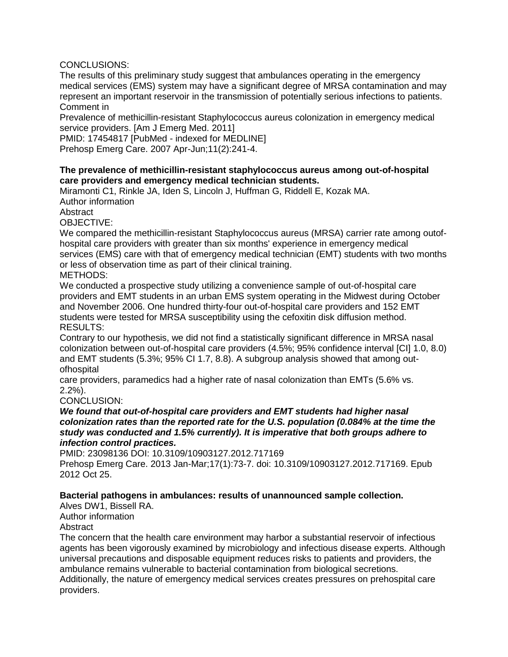## **CONCLUSIONS:**

**The results of this preliminary study suggest that ambulances operating in the emergency medical services (EMS) system may have a significant degree of MRSA contamination and may represent an important reservoir in the transmission of potentially serious infections to patients. Comment in**

**Prevalence of methicillin-resistant Staphylococcus aureus colonization in emergency medical service providers. [Am J Emerg Med. 2011]**

**PMID: 17454817 [PubMed - indexed for MEDLINE] Prehosp Emerg Care. 2007 Apr-Jun;11(2):241-4.**

**The prevalence of methicillin-resistant staphylococcus aureus among out-of-hospital care providers and emergency medical technician students.**

**Miramonti C1, Rinkle JA, Iden S, Lincoln J, Huffman G, Riddell E, Kozak MA.**

**Author information**

**Abstract**

**OBJECTIVE:**

**We compared the methicillin-resistant Staphylococcus aureus (MRSA) carrier rate among outofhospital care providers with greater than six months' experience in emergency medical services (EMS) care with that of emergency medical technician (EMT) students with two months or less of observation time as part of their clinical training. METHODS:**

**We conducted a prospective study utilizing a convenience sample of out-of-hospital care providers and EMT students in an urban EMS system operating in the Midwest during October and November 2006. One hundred thirty-four out-of-hospital care providers and 152 EMT students were tested for MRSA susceptibility using the cefoxitin disk diffusion method. RESULTS:**

**Contrary to our hypothesis, we did not find a statistically significant difference in MRSA nasal colonization between out-of-hospital care providers (4.5%; 95% confidence interval [CI] 1.0, 8.0) and EMT students (5.3%; 95% CI 1.7, 8.8). A subgroup analysis showed that among outofhospital**

**care providers, paramedics had a higher rate of nasal colonization than EMTs (5.6% vs. 2.2%).**

**CONCLUSION:**

*We found that out-of-hospital care providers and EMT students had higher nasal colonization rates than the reported rate for the U.S. population (0.084% at the time the study was conducted and 1.5% currently). It is imperative that both groups adhere to infection control practices.*

**PMID: 23098136 DOI: 10.3109/10903127.2012.717169**

**Prehosp Emerg Care. 2013 Jan-Mar;17(1):73-7. doi: 10.3109/10903127.2012.717169. Epub 2012 Oct 25.**

**Bacterial pathogens in ambulances: results of unannounced sample collection. Alves DW1, Bissell RA.**

**Author information**

**Abstract**

**The concern that the health care environment may harbor a substantial reservoir of infectious agents has been vigorously examined by microbiology and infectious disease experts. Although universal precautions and disposable equipment reduces risks to patients and providers, the ambulance remains vulnerable to bacterial contamination from biological secretions. Additionally, the nature of emergency medical services creates pressures on prehospital care providers.**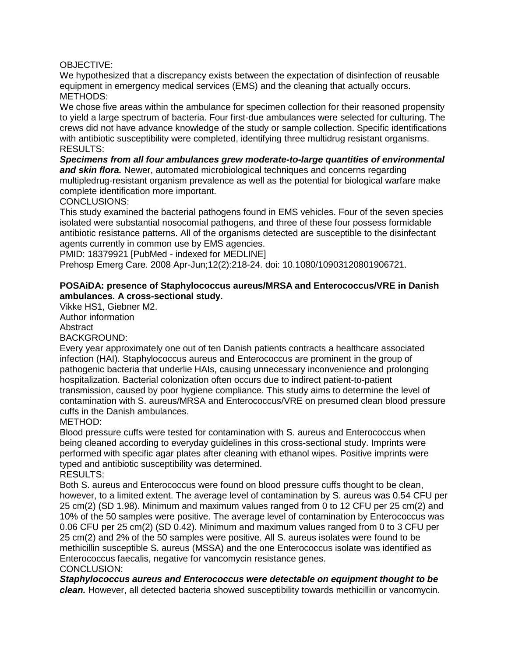### **OBJECTIVE:**

**We hypothesized that a discrepancy exists between the expectation of disinfection of reusable equipment in emergency medical services (EMS) and the cleaning that actually occurs. METHODS:**

**We chose five areas within the ambulance for specimen collection for their reasoned propensity to yield a large spectrum of bacteria. Four first-due ambulances were selected for culturing. The crews did not have advance knowledge of the study or sample collection. Specific identifications with antibiotic susceptibility were completed, identifying three multidrug resistant organisms. RESULTS:**

*Specimens from all four ambulances grew moderate-to-large quantities of environmental and skin flora.* **Newer, automated microbiological techniques and concerns regarding multipledrug-resistant organism prevalence as well as the potential for biological warfare make complete identification more important.**

**CONCLUSIONS:**

**This study examined the bacterial pathogens found in EMS vehicles. Four of the seven species isolated were substantial nosocomial pathogens, and three of these four possess formidable antibiotic resistance patterns. All of the organisms detected are susceptible to the disinfectant agents currently in common use by EMS agencies.**

**PMID: 18379921 [PubMed - indexed for MEDLINE]**

**Prehosp Emerg Care. 2008 Apr-Jun;12(2):218-24. doi: 10.1080/10903120801906721.**

**POSAiDA: presence of Staphylococcus aureus/MRSA and Enterococcus/VRE in Danish ambulances. A cross-sectional study.**

**Vikke HS1, Giebner M2.**

**Author information**

**Abstract**

**BACKGROUND:**

**Every year approximately one out of ten Danish patients contracts a healthcare associated infection (HAI). Staphylococcus aureus and Enterococcus are prominent in the group of pathogenic bacteria that underlie HAIs, causing unnecessary inconvenience and prolonging hospitalization. Bacterial colonization often occurs due to indirect patient-to-patient transmission, caused by poor hygiene compliance. This study aims to determine the level of contamination with S. aureus/MRSA and Enterococcus/VRE on presumed clean blood pressure cuffs in the Danish ambulances.**

**METHOD:**

**Blood pressure cuffs were tested for contamination with S. aureus and Enterococcus when being cleaned according to everyday guidelines in this cross-sectional study. Imprints were performed with specific agar plates after cleaning with ethanol wipes. Positive imprints were typed and antibiotic susceptibility was determined.**

**RESULTS:**

**Both S. aureus and Enterococcus were found on blood pressure cuffs thought to be clean, however, to a limited extent. The average level of contamination by S. aureus was 0.54 CFU per 25 cm(2) (SD 1.98). Minimum and maximum values ranged from 0 to 12 CFU per 25 cm(2) and 10% of the 50 samples were positive. The average level of contamination by Enterococcus was 0.06 CFU per 25 cm(2) (SD 0.42). Minimum and maximum values ranged from 0 to 3 CFU per 25 cm(2) and 2% of the 50 samples were positive. All S. aureus isolates were found to be methicillin susceptible S. aureus (MSSA) and the one Enterococcus isolate was identified as Enterococcus faecalis, negative for vancomycin resistance genes. CONCLUSION:**

*Staphylococcus aureus and Enterococcus were detectable on equipment thought to be clean.* **However, all detected bacteria showed susceptibility towards methicillin or vancomycin.**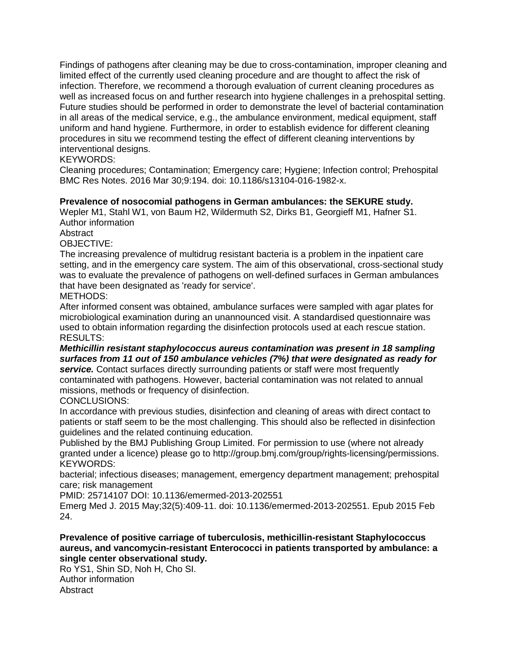**Findings of pathogens after cleaning may be due to cross-contamination, improper cleaning and limited effect of the currently used cleaning procedure and are thought to affect the risk of infection. Therefore, we recommend a thorough evaluation of current cleaning procedures as well as increased focus on and further research into hygiene challenges in a prehospital setting. Future studies should be performed in order to demonstrate the level of bacterial contamination in all areas of the medical service, e.g., the ambulance environment, medical equipment, staff uniform and hand hygiene. Furthermore, in order to establish evidence for different cleaning procedures in situ we recommend testing the effect of different cleaning interventions by interventional designs.**

# **KEYWORDS:**

**Cleaning procedures; Contamination; Emergency care; Hygiene; Infection control; Prehospital BMC Res Notes. 2016 Mar 30;9:194. doi: 10.1186/s13104-016-1982-x.**

**Prevalence of nosocomial pathogens in German ambulances: the SEKURE study. Wepler M1, Stahl W1, von Baum H2, Wildermuth S2, Dirks B1, Georgieff M1, Hafner S1. Author information**

**Abstract**

**OBJECTIVE:**

**The increasing prevalence of multidrug resistant bacteria is a problem in the inpatient care setting, and in the emergency care system. The aim of this observational, cross-sectional study was to evaluate the prevalence of pathogens on well-defined surfaces in German ambulances that have been designated as 'ready for service'.**

**METHODS:**

**After informed consent was obtained, ambulance surfaces were sampled with agar plates for microbiological examination during an unannounced visit. A standardised questionnaire was used to obtain information regarding the disinfection protocols used at each rescue station. RESULTS:**

*Methicillin resistant staphylococcus aureus contamination was present in 18 sampling surfaces from 11 out of 150 ambulance vehicles (7%) that were designated as ready for service.* **Contact surfaces directly surrounding patients or staff were most frequently contaminated with pathogens. However, bacterial contamination was not related to annual missions, methods or frequency of disinfection.**

**CONCLUSIONS:**

**In accordance with previous studies, disinfection and cleaning of areas with direct contact to patients or staff seem to be the most challenging. This should also be reflected in disinfection guidelines and the related continuing education.**

**Published by the BMJ Publishing Group Limited. For permission to use (where not already granted under a licence) please go to http://group.bmj.com/group/rights-licensing/permissions. KEYWORDS:**

**bacterial; infectious diseases; management, emergency department management; prehospital care; risk management**

**PMID: 25714107 DOI: 10.1136/emermed-2013-202551**

**Emerg Med J. 2015 May;32(5):409-11. doi: 10.1136/emermed-2013-202551. Epub 2015 Feb 24.**

**Prevalence of positive carriage of tuberculosis, methicillin-resistant Staphylococcus aureus, and vancomycin-resistant Enterococci in patients transported by ambulance: a single center observational study.**

**Ro YS1, Shin SD, Noh H, Cho SI.**

**Author information Abstract**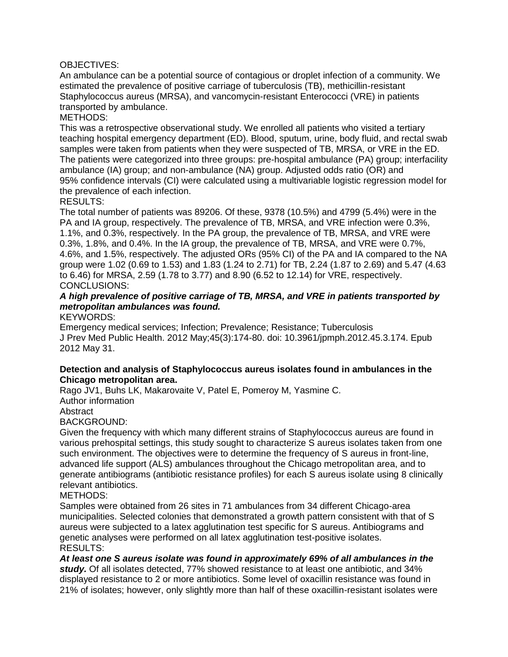### **OBJECTIVES:**

**An ambulance can be a potential source of contagious or droplet infection of a community. We estimated the prevalence of positive carriage of tuberculosis (TB), methicillin-resistant Staphylococcus aureus (MRSA), and vancomycin-resistant Enterococci (VRE) in patients transported by ambulance.**

### **METHODS:**

**This was a retrospective observational study. We enrolled all patients who visited a tertiary teaching hospital emergency department (ED). Blood, sputum, urine, body fluid, and rectal swab samples were taken from patients when they were suspected of TB, MRSA, or VRE in the ED. The patients were categorized into three groups: pre-hospital ambulance (PA) group; interfacility ambulance (IA) group; and non-ambulance (NA) group. Adjusted odds ratio (OR) and 95% confidence intervals (CI) were calculated using a multivariable logistic regression model for the prevalence of each infection.**

### **RESULTS:**

**The total number of patients was 89206. Of these, 9378 (10.5%) and 4799 (5.4%) were in the PA and IA group, respectively. The prevalence of TB, MRSA, and VRE infection were 0.3%, 1.1%, and 0.3%, respectively. In the PA group, the prevalence of TB, MRSA, and VRE were 0.3%, 1.8%, and 0.4%. In the IA group, the prevalence of TB, MRSA, and VRE were 0.7%, 4.6%, and 1.5%, respectively. The adjusted ORs (95% CI) of the PA and IA compared to the NA group were 1.02 (0.69 to 1.53) and 1.83 (1.24 to 2.71) for TB, 2.24 (1.87 to 2.69) and 5.47 (4.63 to 6.46) for MRSA, 2.59 (1.78 to 3.77) and 8.90 (6.52 to 12.14) for VRE, respectively. CONCLUSIONS:**

*A high prevalence of positive carriage of TB, MRSA, and VRE in patients transported by metropolitan ambulances was found.*

**KEYWORDS:**

**Emergency medical services; Infection; Prevalence; Resistance; Tuberculosis J Prev Med Public Health. 2012 May;45(3):174-80. doi: 10.3961/jpmph.2012.45.3.174. Epub 2012 May 31.**

**Detection and analysis of Staphylococcus aureus isolates found in ambulances in the Chicago metropolitan area.**

**Rago JV1, Buhs LK, Makarovaite V, Patel E, Pomeroy M, Yasmine C.**

**Author information**

**Abstract**

**BACKGROUND:**

**Given the frequency with which many different strains of Staphylococcus aureus are found in various prehospital settings, this study sought to characterize S aureus isolates taken from one such environment. The objectives were to determine the frequency of S aureus in front-line, advanced life support (ALS) ambulances throughout the Chicago metropolitan area, and to generate antibiograms (antibiotic resistance profiles) for each S aureus isolate using 8 clinically relevant antibiotics.**

### **METHODS:**

**Samples were obtained from 26 sites in 71 ambulances from 34 different Chicago-area municipalities. Selected colonies that demonstrated a growth pattern consistent with that of S aureus were subjected to a latex agglutination test specific for S aureus. Antibiograms and genetic analyses were performed on all latex agglutination test-positive isolates. RESULTS:**

*At least one S aureus isolate was found in approximately 69% of all ambulances in the study.* **Of all isolates detected, 77% showed resistance to at least one antibiotic, and 34% displayed resistance to 2 or more antibiotics. Some level of oxacillin resistance was found in 21% of isolates; however, only slightly more than half of these oxacillin-resistant isolates were**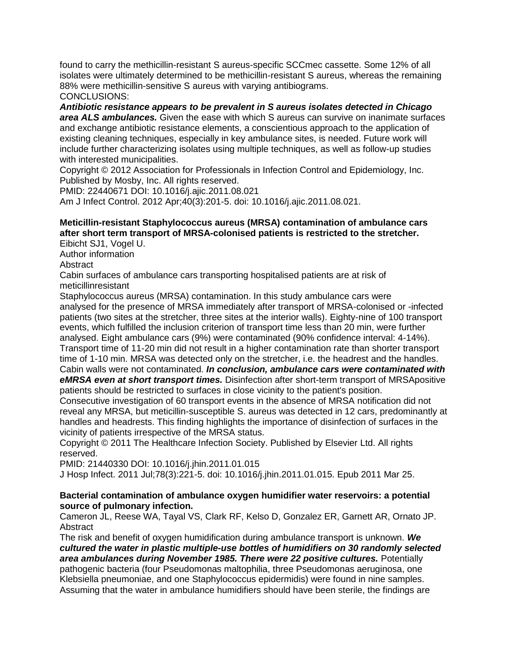**found to carry the methicillin-resistant S aureus-specific SCCmec cassette. Some 12% of all isolates were ultimately determined to be methicillin-resistant S aureus, whereas the remaining 88% were methicillin-sensitive S aureus with varying antibiograms. CONCLUSIONS:**

*Antibiotic resistance appears to be prevalent in S aureus isolates detected in Chicago area ALS ambulances.* **Given the ease with which S aureus can survive on inanimate surfaces and exchange antibiotic resistance elements, a conscientious approach to the application of existing cleaning techniques, especially in key ambulance sites, is needed. Future work will include further characterizing isolates using multiple techniques, as well as follow-up studies with interested municipalities.**

**Copyright © 2012 Association for Professionals in Infection Control and Epidemiology, Inc. Published by Mosby, Inc. All rights reserved.**

**PMID: 22440671 DOI: 10.1016/j.ajic.2011.08.021**

**Am J Infect Control. 2012 Apr;40(3):201-5. doi: 10.1016/j.ajic.2011.08.021.**

**Meticillin-resistant Staphylococcus aureus (MRSA) contamination of ambulance cars after short term transport of MRSA-colonised patients is restricted to the stretcher. Eibicht SJ1, Vogel U.**

**Author information**

**Abstract**

**Cabin surfaces of ambulance cars transporting hospitalised patients are at risk of meticillinresistant**

**Staphylococcus aureus (MRSA) contamination. In this study ambulance cars were analysed for the presence of MRSA immediately after transport of MRSA-colonised or -infected patients (two sites at the stretcher, three sites at the interior walls). Eighty-nine of 100 transport events, which fulfilled the inclusion criterion of transport time less than 20 min, were further analysed. Eight ambulance cars (9%) were contaminated (90% confidence interval: 4-14%). Transport time of 11-20 min did not result in a higher contamination rate than shorter transport time of 1-10 min. MRSA was detected only on the stretcher, i.e. the headrest and the handles. Cabin walls were not contaminated.** *In conclusion, ambulance cars were contaminated with eMRSA even at short transport times.* **Disinfection after short-term transport of MRSApositive patients should be restricted to surfaces in close vicinity to the patient's position.**

**Consecutive investigation of 60 transport events in the absence of MRSA notification did not reveal any MRSA, but meticillin-susceptible S. aureus was detected in 12 cars, predominantly at handles and headrests. This finding highlights the importance of disinfection of surfaces in the vicinity of patients irrespective of the MRSA status.**

**Copyright © 2011 The Healthcare Infection Society. Published by Elsevier Ltd. All rights reserved.**

**PMID: 21440330 DOI: 10.1016/j.jhin.2011.01.015**

**J Hosp Infect. 2011 Jul;78(3):221-5. doi: 10.1016/j.jhin.2011.01.015. Epub 2011 Mar 25.**

**Bacterial contamination of ambulance oxygen humidifier water reservoirs: a potential source of pulmonary infection.**

**Cameron JL, Reese WA, Tayal VS, Clark RF, Kelso D, Gonzalez ER, Garnett AR, Ornato JP. Abstract**

**The risk and benefit of oxygen humidification during ambulance transport is unknown.** *We cultured the water in plastic multiple-use bottles of humidifiers on 30 randomly selected area ambulances during November 1985. There were 22 positive cultures.* **Potentially pathogenic bacteria (four Pseudomonas maltophilia, three Pseudomonas aeruginosa, one Klebsiella pneumoniae, and one Staphylococcus epidermidis) were found in nine samples. Assuming that the water in ambulance humidifiers should have been sterile, the findings are**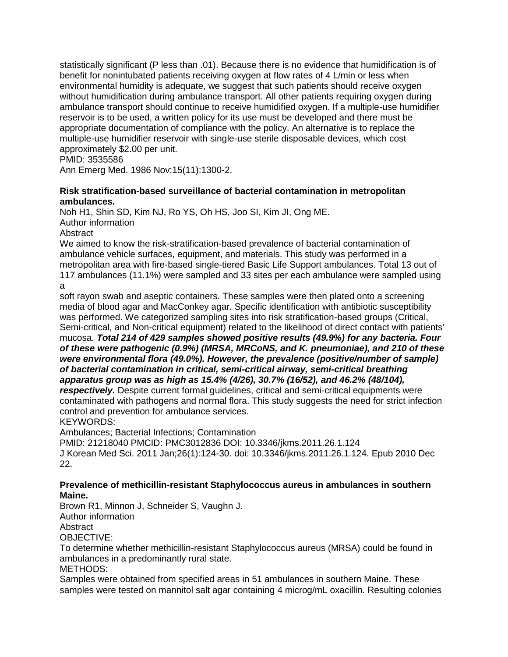**statistically significant (P less than .01). Because there is no evidence that humidification is of benefit for nonintubated patients receiving oxygen at flow rates of 4 L/min or less when environmental humidity is adequate, we suggest that such patients should receive oxygen without humidification during ambulance transport. All other patients requiring oxygen during ambulance transport should continue to receive humidified oxygen. If a multiple-use humidifier reservoir is to be used, a written policy for its use must be developed and there must be appropriate documentation of compliance with the policy. An alternative is to replace the multiple-use humidifier reservoir with single-use sterile disposable devices, which cost approximately \$2.00 per unit.**

## **PMID: 3535586**

**Ann Emerg Med. 1986 Nov;15(11):1300-2.**

**Risk stratification-based surveillance of bacterial contamination in metropolitan ambulances.**

**Noh H1, Shin SD, Kim NJ, Ro YS, Oh HS, Joo SI, Kim JI, Ong ME.**

**Author information**

**Abstract**

**We aimed to know the risk-stratification-based prevalence of bacterial contamination of ambulance vehicle surfaces, equipment, and materials. This study was performed in a metropolitan area with fire-based single-tiered Basic Life Support ambulances. Total 13 out of 117 ambulances (11.1%) were sampled and 33 sites per each ambulance were sampled using** 

**a**

**soft rayon swab and aseptic containers. These samples were then plated onto a screening media of blood agar and MacConkey agar. Specific identification with antibiotic susceptibility was performed. We categorized sampling sites into risk stratification-based groups (Critical, Semi-critical, and Non-critical equipment) related to the likelihood of direct contact with patients' mucosa.** *Total 214 of 429 samples showed positive results (49.9%) for any bacteria. Four of these were pathogenic (0.9%) (MRSA, MRCoNS, and K. pneumoniae), and 210 of these were environmental flora (49.0%). However, the prevalence (positive/number of sample) of bacterial contamination in critical, semi-critical airway, semi-critical breathing apparatus group was as high as 15.4% (4/26), 30.7% (16/52), and 46.2% (48/104), respectively.* **Despite current formal guidelines, critical and semi-critical equipments were contaminated with pathogens and normal flora. This study suggests the need for strict infection control and prevention for ambulance services.**

**KEYWORDS:**

**Ambulances; Bacterial Infections; Contamination**

**PMID: 21218040 PMCID: PMC3012836 DOI: 10.3346/jkms.2011.26.1.124**

**J Korean Med Sci. 2011 Jan;26(1):124-30. doi: 10.3346/jkms.2011.26.1.124. Epub 2010 Dec 22.**

**Prevalence of methicillin-resistant Staphylococcus aureus in ambulances in southern Maine.**

**Brown R1, Minnon J, Schneider S, Vaughn J.**

**Author information**

**Abstract**

**OBJECTIVE:**

**To determine whether methicillin-resistant Staphylococcus aureus (MRSA) could be found in ambulances in a predominantly rural state.**

**METHODS:**

**Samples were obtained from specified areas in 51 ambulances in southern Maine. These samples were tested on mannitol salt agar containing 4 microg/mL oxacillin. Resulting colonies**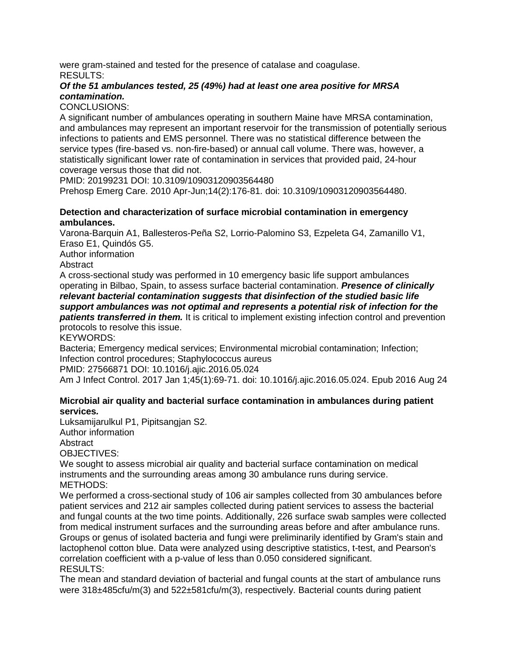**were gram-stained and tested for the presence of catalase and coagulase. RESULTS:**

*Of the 51 ambulances tested, 25 (49%) had at least one area positive for MRSA contamination.*

**CONCLUSIONS:**

**A significant number of ambulances operating in southern Maine have MRSA contamination, and ambulances may represent an important reservoir for the transmission of potentially serious infections to patients and EMS personnel. There was no statistical difference between the service types (fire-based vs. non-fire-based) or annual call volume. There was, however, a statistically significant lower rate of contamination in services that provided paid, 24-hour coverage versus those that did not.**

**PMID: 20199231 DOI: 10.3109/10903120903564480**

**Prehosp Emerg Care. 2010 Apr-Jun;14(2):176-81. doi: 10.3109/10903120903564480.**

**Detection and characterization of surface microbial contamination in emergency ambulances.**

**Varona-Barquin A1, Ballesteros-Peña S2, Lorrio-Palomino S3, Ezpeleta G4, Zamanillo V1, Eraso E1, Quindós G5.**

**Author information**

**Abstract**

**A cross-sectional study was performed in 10 emergency basic life support ambulances operating in Bilbao, Spain, to assess surface bacterial contamination.** *Presence of clinically relevant bacterial contamination suggests that disinfection of the studied basic life support ambulances was not optimal and represents a potential risk of infection for the patients transferred in them.* **It is critical to implement existing infection control and prevention protocols to resolve this issue.**

**KEYWORDS:**

**Bacteria; Emergency medical services; Environmental microbial contamination; Infection; Infection control procedures; Staphylococcus aureus**

**PMID: 27566871 DOI: 10.1016/j.ajic.2016.05.024**

**Am J Infect Control. 2017 Jan 1;45(1):69-71. doi: 10.1016/j.ajic.2016.05.024. Epub 2016 Aug 24**

**Microbial air quality and bacterial surface contamination in ambulances during patient services***.*

**Luksamijarulkul P1, Pipitsangjan S2.**

**Author information**

**Abstract**

**OBJECTIVES:**

**We sought to assess microbial air quality and bacterial surface contamination on medical instruments and the surrounding areas among 30 ambulance runs during service. METHODS:**

**We performed a cross-sectional study of 106 air samples collected from 30 ambulances before patient services and 212 air samples collected during patient services to assess the bacterial and fungal counts at the two time points. Additionally, 226 surface swab samples were collected from medical instrument surfaces and the surrounding areas before and after ambulance runs. Groups or genus of isolated bacteria and fungi were preliminarily identified by Gram's stain and lactophenol cotton blue. Data were analyzed using descriptive statistics, t-test, and Pearson's correlation coefficient with a p-value of less than 0.050 considered significant. RESULTS:**

**The mean and standard deviation of bacterial and fungal counts at the start of ambulance runs were 318±485cfu/m(3) and 522±581cfu/m(3), respectively. Bacterial counts during patient**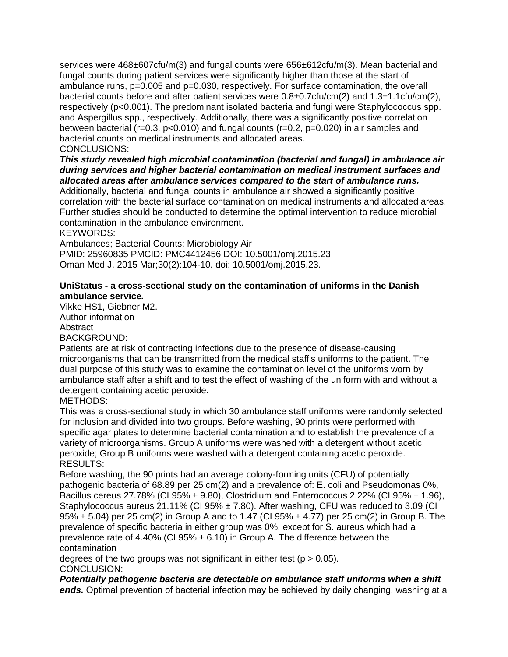**services were 468±607cfu/m(3) and fungal counts were 656±612cfu/m(3). Mean bacterial and fungal counts during patient services were significantly higher than those at the start of ambulance runs, p=0.005 and p=0.030, respectively. For surface contamination, the overall bacterial counts before and after patient services were 0.8±0.7cfu/cm(2) and 1.3±1.1cfu/cm(2), respectively (p<0.001). The predominant isolated bacteria and fungi were Staphylococcus spp. and Aspergillus spp., respectively. Additionally, there was a significantly positive correlation between bacterial (r=0.3, p<0.010) and fungal counts (r=0.2, p=0.020) in air samples and bacterial counts on medical instruments and allocated areas. CONCLUSIONS:**

*This study revealed high microbial contamination (bacterial and fungal) in ambulance air during services and higher bacterial contamination on medical instrument surfaces and allocated areas after ambulance services compared to the start of ambulance runs.* **Additionally, bacterial and fungal counts in ambulance air showed a significantly positive correlation with the bacterial surface contamination on medical instruments and allocated areas. Further studies should be conducted to determine the optimal intervention to reduce microbial contamination in the ambulance environment.**

**KEYWORDS:**

**Ambulances; Bacterial Counts; Microbiology Air**

**PMID: 25960835 PMCID: PMC4412456 DOI: 10.5001/omj.2015.23 Oman Med J. 2015 Mar;30(2):104-10. doi: 10.5001/omj.2015.23.**

**UniStatus - a cross-sectional study on the contamination of uniforms in the Danish ambulance service***.*

**Vikke HS1, Giebner M2.**

**Author information**

**Abstract**

**BACKGROUND:**

**Patients are at risk of contracting infections due to the presence of disease-causing microorganisms that can be transmitted from the medical staff's uniforms to the patient. The dual purpose of this study was to examine the contamination level of the uniforms worn by ambulance staff after a shift and to test the effect of washing of the uniform with and without a detergent containing acetic peroxide.**

**METHODS:**

**This was a cross-sectional study in which 30 ambulance staff uniforms were randomly selected for inclusion and divided into two groups. Before washing, 90 prints were performed with specific agar plates to determine bacterial contamination and to establish the prevalence of a variety of microorganisms. Group A uniforms were washed with a detergent without acetic peroxide; Group B uniforms were washed with a detergent containing acetic peroxide. RESULTS:**

**Before washing, the 90 prints had an average colony-forming units (CFU) of potentially pathogenic bacteria of 68.89 per 25 cm(2) and a prevalence of: E. coli and Pseudomonas 0%, Bacillus cereus 27.78% (CI 95% ± 9.80), Clostridium and Enterococcus 2.22% (CI 95% ± 1.96), Staphylococcus aureus 21.11% (CI 95% ± 7.80). After washing, CFU was reduced to 3.09 (CI 95% ± 5.04) per 25 cm(2) in Group A and to 1.47 (CI 95% ± 4.77) per 25 cm(2) in Group B. The prevalence of specific bacteria in either group was 0%, except for S. aureus which had a prevalence rate of 4.40% (CI 95% ± 6.10) in Group A. The difference between the contamination**

**degrees of the two groups was not significant in either test (p > 0.05). CONCLUSION:**

*Potentially pathogenic bacteria are detectable on ambulance staff uniforms when a shift ends.* **Optimal prevention of bacterial infection may be achieved by daily changing, washing at a**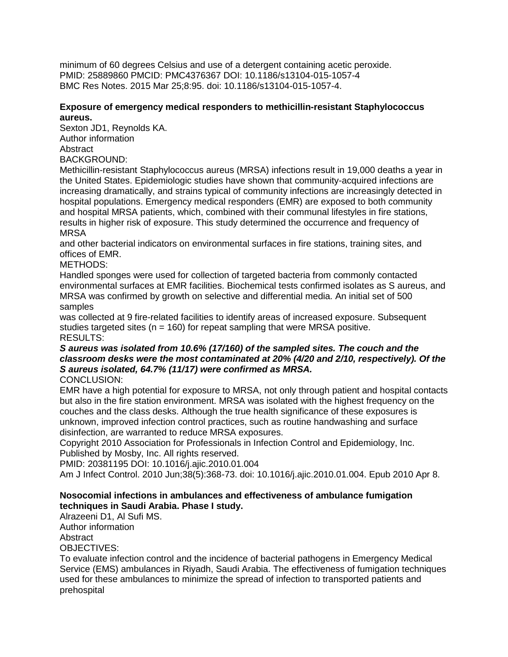**minimum of 60 degrees Celsius and use of a detergent containing acetic peroxide. PMID: 25889860 PMCID: PMC4376367 DOI: 10.1186/s13104-015-1057-4 BMC Res Notes. 2015 Mar 25;8:95. doi: 10.1186/s13104-015-1057-4.**

**Exposure of emergency medical responders to methicillin-resistant Staphylococcus aureus.**

**Sexton JD1, Reynolds KA.**

**Author information**

**Abstract**

**BACKGROUND:**

**Methicillin-resistant Staphylococcus aureus (MRSA) infections result in 19,000 deaths a year in the United States. Epidemiologic studies have shown that community-acquired infections are increasing dramatically, and strains typical of community infections are increasingly detected in hospital populations. Emergency medical responders (EMR) are exposed to both community and hospital MRSA patients, which, combined with their communal lifestyles in fire stations, results in higher risk of exposure. This study determined the occurrence and frequency of MRSA**

**and other bacterial indicators on environmental surfaces in fire stations, training sites, and offices of EMR.**

**METHODS:**

**Handled sponges were used for collection of targeted bacteria from commonly contacted environmental surfaces at EMR facilities. Biochemical tests confirmed isolates as S aureus, and MRSA was confirmed by growth on selective and differential media. An initial set of 500 samples**

**was collected at 9 fire-related facilities to identify areas of increased exposure. Subsequent studies targeted sites (n = 160) for repeat sampling that were MRSA positive. RESULTS:**

*S aureus was isolated from 10.6% (17/160) of the sampled sites. The couch and the classroom desks were the most contaminated at 20% (4/20 and 2/10, respectively). Of the S aureus isolated, 64.7% (11/17) were confirmed as MRSA.* **CONCLUSION:**

**EMR have a high potential for exposure to MRSA, not only through patient and hospital contacts but also in the fire station environment. MRSA was isolated with the highest frequency on the couches and the class desks. Although the true health significance of these exposures is unknown, improved infection control practices, such as routine handwashing and surface disinfection, are warranted to reduce MRSA exposures.**

**Copyright 2010 Association for Professionals in Infection Control and Epidemiology, Inc. Published by Mosby, Inc. All rights reserved.**

**PMID: 20381195 DOI: 10.1016/j.ajic.2010.01.004**

**Am J Infect Control. 2010 Jun;38(5):368-73. doi: 10.1016/j.ajic.2010.01.004. Epub 2010 Apr 8.**

**Nosocomial infections in ambulances and effectiveness of ambulance fumigation techniques in Saudi Arabia. Phase I study.**

**Alrazeeni D1, Al Sufi MS.**

**Author information**

**Abstract**

**OBJECTIVES:**

**To evaluate infection control and the incidence of bacterial pathogens in Emergency Medical Service (EMS) ambulances in Riyadh, Saudi Arabia. The effectiveness of fumigation techniques used for these ambulances to minimize the spread of infection to transported patients and prehospital**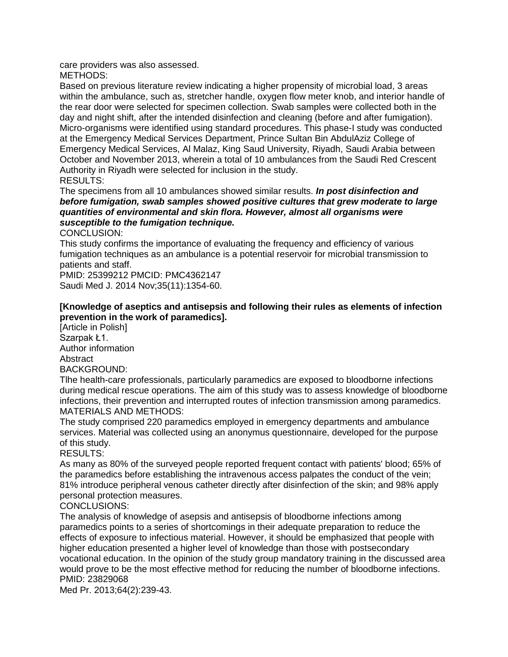**care providers was also assessed. METHODS:**

**Based on previous literature review indicating a higher propensity of microbial load, 3 areas within the ambulance, such as, stretcher handle, oxygen flow meter knob, and interior handle of the rear door were selected for specimen collection. Swab samples were collected both in the day and night shift, after the intended disinfection and cleaning (before and after fumigation). Micro-organisms were identified using standard procedures. This phase-I study was conducted at the Emergency Medical Services Department, Prince Sultan Bin AbdulAziz College of Emergency Medical Services, Al Malaz, King Saud University, Riyadh, Saudi Arabia between October and November 2013, wherein a total of 10 ambulances from the Saudi Red Crescent Authority in Riyadh were selected for inclusion in the study. RESULTS:**

**The specimens from all 10 ambulances showed similar results.** *In post disinfection and before fumigation, swab samples showed positive cultures that grew moderate to large quantities of environmental and skin flora. However, almost all organisms were susceptible to the fumigation technique.*

**CONCLUSION:**

**This study confirms the importance of evaluating the frequency and efficiency of various fumigation techniques as an ambulance is a potential reservoir for microbial transmission to patients and staff.**

**PMID: 25399212 PMCID: PMC4362147 Saudi Med J. 2014 Nov;35(11):1354-60.**

**[Knowledge of aseptics and antisepsis and following their rules as elements of infection prevention in the work of paramedics].**

**[Article in Polish] Szarpak Ł1. Author information Abstract BACKGROUND:**

**Tlhe health-care professionals, particularly paramedics are exposed to bloodborne infections during medical rescue operations. The aim of this study was to assess knowledge of bloodborne infections, their prevention and interrupted routes of infection transmission among paramedics. MATERIALS AND METHODS:**

**The study comprised 220 paramedics employed in emergency departments and ambulance services. Material was collected using an anonymus questionnaire, developed for the purpose of this study.**

**RESULTS:**

**As many as 80% of the surveyed people reported frequent contact with patients' blood; 65% of the paramedics before establishing the intravenous access palpates the conduct of the vein; 81% introduce peripheral venous catheter directly after disinfection of the skin; and 98% apply personal protection measures.**

**CONCLUSIONS:**

**The analysis of knowledge of asepsis and antisepsis of bloodborne infections among paramedics points to a series of shortcomings in their adequate preparation to reduce the effects of exposure to infectious material. However, it should be emphasized that people with higher education presented a higher level of knowledge than those with postsecondary vocational education. In the opinion of the study group mandatory training in the discussed area would prove to be the most effective method for reducing the number of bloodborne infections. PMID: 23829068**

**Med Pr. 2013;64(2):239-43.**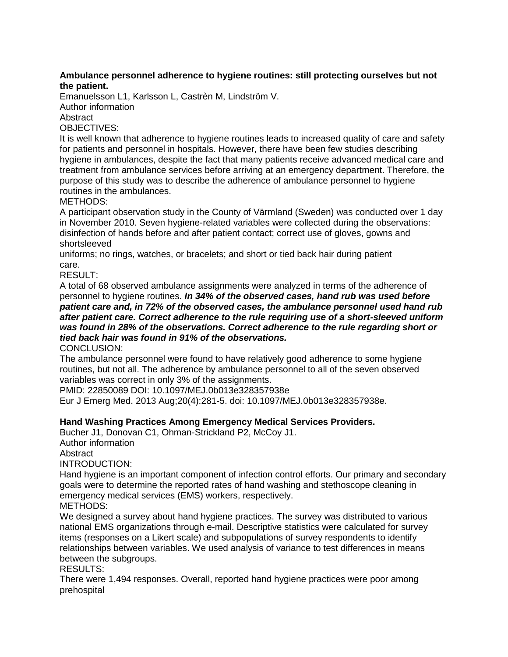**Ambulance personnel adherence to hygiene routines: still protecting ourselves but not the patient.**

**Emanuelsson L1, Karlsson L, Castrèn M, Lindström V.**

**Author information**

**Abstract**

**OBJECTIVES:**

**It is well known that adherence to hygiene routines leads to increased quality of care and safety for patients and personnel in hospitals. However, there have been few studies describing hygiene in ambulances, despite the fact that many patients receive advanced medical care and treatment from ambulance services before arriving at an emergency department. Therefore, the purpose of this study was to describe the adherence of ambulance personnel to hygiene routines in the ambulances.**

**METHODS:**

**A participant observation study in the County of Värmland (Sweden) was conducted over 1 day in November 2010. Seven hygiene-related variables were collected during the observations: disinfection of hands before and after patient contact; correct use of gloves, gowns and shortsleeved**

**uniforms; no rings, watches, or bracelets; and short or tied back hair during patient care.**

**RESULT:**

**A total of 68 observed ambulance assignments were analyzed in terms of the adherence of personnel to hygiene routines.** *In 34% of the observed cases, hand rub was used before patient care and, in 72% of the observed cases, the ambulance personnel used hand rub after patient care. Correct adherence to the rule requiring use of a short-sleeved uniform was found in 28% of the observations. Correct adherence to the rule regarding short or tied back hair was found in 91% of the observations.*

**CONCLUSION:**

**The ambulance personnel were found to have relatively good adherence to some hygiene routines, but not all. The adherence by ambulance personnel to all of the seven observed variables was correct in only 3% of the assignments.**

**PMID: 22850089 DOI: 10.1097/MEJ.0b013e328357938e**

**Eur J Emerg Med. 2013 Aug;20(4):281-5. doi: 10.1097/MEJ.0b013e328357938e.**

**Hand Washing Practices Among Emergency Medical Services Providers. Bucher J1, Donovan C1, Ohman-Strickland P2, McCoy J1.**

**Author information**

**Abstract**

**INTRODUCTION:**

**Hand hygiene is an important component of infection control efforts. Our primary and secondary goals were to determine the reported rates of hand washing and stethoscope cleaning in emergency medical services (EMS) workers, respectively. METHODS:**

**We designed a survey about hand hygiene practices. The survey was distributed to various national EMS organizations through e-mail. Descriptive statistics were calculated for survey items (responses on a Likert scale) and subpopulations of survey respondents to identify relationships between variables. We used analysis of variance to test differences in means between the subgroups.**

**RESULTS:**

**There were 1,494 responses. Overall, reported hand hygiene practices were poor among prehospital**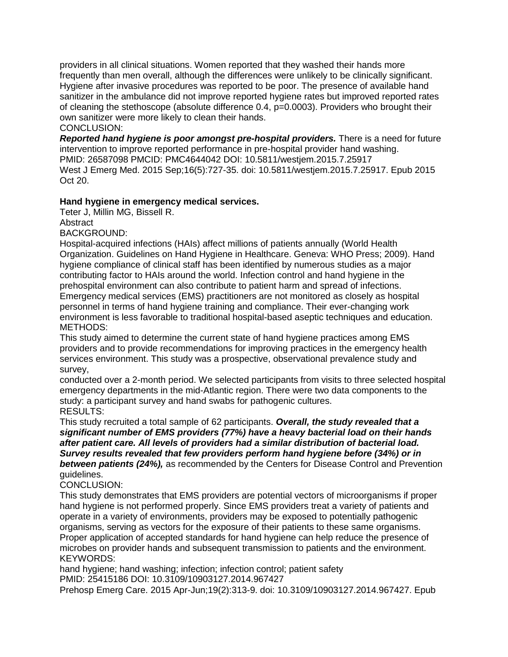**providers in all clinical situations. Women reported that they washed their hands more frequently than men overall, although the differences were unlikely to be clinically significant. Hygiene after invasive procedures was reported to be poor. The presence of available hand sanitizer in the ambulance did not improve reported hygiene rates but improved reported rates of cleaning the stethoscope (absolute difference 0.4, p=0.0003). Providers who brought their own sanitizer were more likely to clean their hands.**

**CONCLUSION:**

*Reported hand hygiene is poor amongst pre-hospital providers.* **There is a need for future intervention to improve reported performance in pre-hospital provider hand washing. PMID: 26587098 PMCID: PMC4644042 DOI: 10.5811/westjem.2015.7.25917 West J Emerg Med. 2015 Sep;16(5):727-35. doi: 10.5811/westjem.2015.7.25917. Epub 2015 Oct 20.**

**Hand hygiene in emergency medical services.**

**Teter J, Millin MG, Bissell R.**

**Abstract**

**BACKGROUND:**

**Hospital-acquired infections (HAIs) affect millions of patients annually (World Health Organization. Guidelines on Hand Hygiene in Healthcare. Geneva: WHO Press; 2009). Hand hygiene compliance of clinical staff has been identified by numerous studies as a major contributing factor to HAIs around the world. Infection control and hand hygiene in the prehospital environment can also contribute to patient harm and spread of infections. Emergency medical services (EMS) practitioners are not monitored as closely as hospital personnel in terms of hand hygiene training and compliance. Their ever-changing work environment is less favorable to traditional hospital-based aseptic techniques and education. METHODS:**

**This study aimed to determine the current state of hand hygiene practices among EMS providers and to provide recommendations for improving practices in the emergency health services environment. This study was a prospective, observational prevalence study and survey,**

**conducted over a 2-month period. We selected participants from visits to three selected hospital emergency departments in the mid-Atlantic region. There were two data components to the study: a participant survey and hand swabs for pathogenic cultures. RESULTS:**

**This study recruited a total sample of 62 participants.** *Overall, the study revealed that a significant number of EMS providers (77%) have a heavy bacterial load on their hands after patient care. All levels of providers had a similar distribution of bacterial load. Survey results revealed that few providers perform hand hygiene before (34%) or in between patients (24%),* **as recommended by the Centers for Disease Control and Prevention guidelines.**

# **CONCLUSION:**

**This study demonstrates that EMS providers are potential vectors of microorganisms if proper hand hygiene is not performed properly. Since EMS providers treat a variety of patients and operate in a variety of environments, providers may be exposed to potentially pathogenic organisms, serving as vectors for the exposure of their patients to these same organisms. Proper application of accepted standards for hand hygiene can help reduce the presence of microbes on provider hands and subsequent transmission to patients and the environment. KEYWORDS:**

**hand hygiene; hand washing; infection; infection control; patient safety PMID: 25415186 DOI: 10.3109/10903127.2014.967427**

**Prehosp Emerg Care. 2015 Apr-Jun;19(2):313-9. doi: 10.3109/10903127.2014.967427. Epub**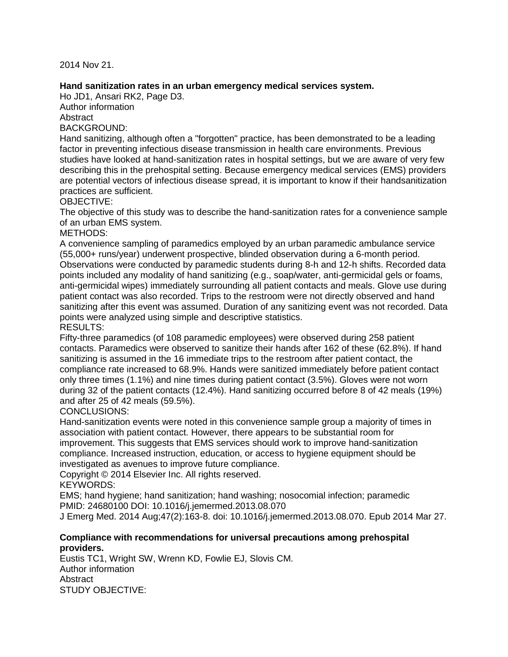**2014 Nov 21.**

**Hand sanitization rates in an urban emergency medical services system. Ho JD1, Ansari RK2, Page D3.**

**Author information**

**Abstract**

**BACKGROUND:**

**Hand sanitizing, although often a "forgotten" practice, has been demonstrated to be a leading factor in preventing infectious disease transmission in health care environments. Previous studies have looked at hand-sanitization rates in hospital settings, but we are aware of very few describing this in the prehospital setting. Because emergency medical services (EMS) providers are potential vectors of infectious disease spread, it is important to know if their handsanitization practices are sufficient.**

**OBJECTIVE:**

**The objective of this study was to describe the hand-sanitization rates for a convenience sample of an urban EMS system.**

**METHODS:**

**A convenience sampling of paramedics employed by an urban paramedic ambulance service (55,000+ runs/year) underwent prospective, blinded observation during a 6-month period. Observations were conducted by paramedic students during 8-h and 12-h shifts. Recorded data points included any modality of hand sanitizing (e.g., soap/water, anti-germicidal gels or foams, anti-germicidal wipes) immediately surrounding all patient contacts and meals. Glove use during patient contact was also recorded. Trips to the restroom were not directly observed and hand sanitizing after this event was assumed. Duration of any sanitizing event was not recorded. Data points were analyzed using simple and descriptive statistics. RESULTS:**

**Fifty-three paramedics (of 108 paramedic employees) were observed during 258 patient contacts. Paramedics were observed to sanitize their hands after 162 of these (62.8%). If hand sanitizing is assumed in the 16 immediate trips to the restroom after patient contact, the compliance rate increased to 68.9%. Hands were sanitized immediately before patient contact only three times (1.1%) and nine times during patient contact (3.5%). Gloves were not worn during 32 of the patient contacts (12.4%). Hand sanitizing occurred before 8 of 42 meals (19%) and after 25 of 42 meals (59.5%).**

### **CONCLUSIONS:**

**Hand-sanitization events were noted in this convenience sample group a majority of times in association with patient contact. However, there appears to be substantial room for improvement. This suggests that EMS services should work to improve hand-sanitization compliance. Increased instruction, education, or access to hygiene equipment should be investigated as avenues to improve future compliance.**

**Copyright © 2014 Elsevier Inc. All rights reserved.**

**KEYWORDS:**

**EMS; hand hygiene; hand sanitization; hand washing; nosocomial infection; paramedic PMID: 24680100 DOI: 10.1016/j.jemermed.2013.08.070**

**J Emerg Med. 2014 Aug;47(2):163-8. doi: 10.1016/j.jemermed.2013.08.070. Epub 2014 Mar 27.**

**Compliance with recommendations for universal precautions among prehospital providers. Eustis TC1, Wright SW, Wrenn KD, Fowlie EJ, Slovis CM.**

**Author information Abstract STUDY OBJECTIVE:**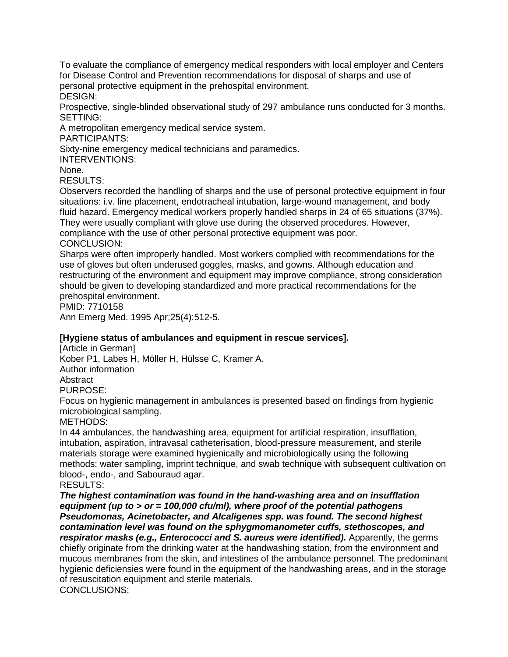**To evaluate the compliance of emergency medical responders with local employer and Centers for Disease Control and Prevention recommendations for disposal of sharps and use of personal protective equipment in the prehospital environment. DESIGN:**

**Prospective, single-blinded observational study of 297 ambulance runs conducted for 3 months. SETTING:**

**A metropolitan emergency medical service system.**

**PARTICIPANTS:**

**Sixty-nine emergency medical technicians and paramedics.**

**INTERVENTIONS:**

**None.**

**RESULTS:**

**Observers recorded the handling of sharps and the use of personal protective equipment in four situations: i.v. line placement, endotracheal intubation, large-wound management, and body fluid hazard. Emergency medical workers properly handled sharps in 24 of 65 situations (37%). They were usually compliant with glove use during the observed procedures. However, compliance with the use of other personal protective equipment was poor.**

**CONCLUSION:**

**Sharps were often improperly handled. Most workers complied with recommendations for the use of gloves but often underused goggles, masks, and gowns. Although education and restructuring of the environment and equipment may improve compliance, strong consideration should be given to developing standardized and more practical recommendations for the prehospital environment.**

**PMID: 7710158**

**Ann Emerg Med. 1995 Apr;25(4):512-5.**

**[Hygiene status of ambulances and equipment in rescue services].**

**[Article in German]**

**Kober P1, Labes H, Möller H, Hülsse C, Kramer A.**

**Author information**

**Abstract**

**PURPOSE:**

**Focus on hygienic management in ambulances is presented based on findings from hygienic microbiological sampling.**

**METHODS:**

**In 44 ambulances, the handwashing area, equipment for artificial respiration, insufflation, intubation, aspiration, intravasal catheterisation, blood-pressure measurement, and sterile materials storage were examined hygienically and microbiologically using the following methods: water sampling, imprint technique, and swab technique with subsequent cultivation on blood-, endo-, and Sabouraud agar.**

**RESULTS:**

*The highest contamination was found in the hand-washing area and on insufflation equipment (up to > or = 100,000 cfu/ml), where proof of the potential pathogens Pseudomonas, Acinetobacter, and Alcaligenes spp. was found. The second highest contamination level was found on the sphygmomanometer cuffs, stethoscopes, and respirator masks (e.g., Enterococci and S. aureus were identified).* **Apparently, the germs chiefly originate from the drinking water at the handwashing station, from the environment and mucous membranes from the skin, and intestines of the ambulance personnel. The predominant hygienic deficiensies were found in the equipment of the handwashing areas, and in the storage of resuscitation equipment and sterile materials. CONCLUSIONS:**